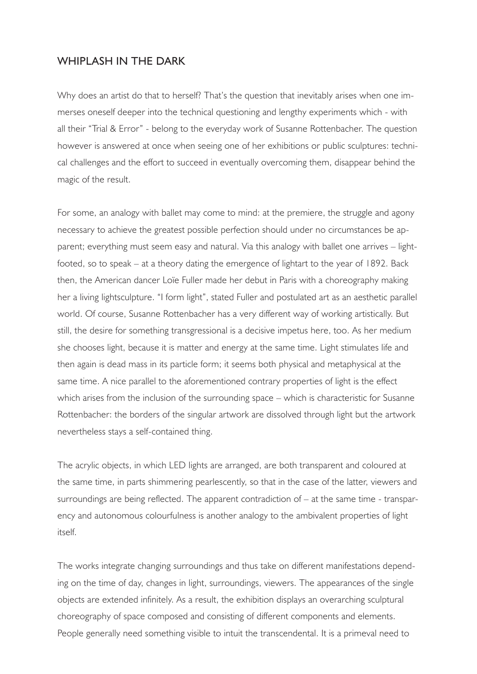## WHIPLASH IN THE DARK

Why does an artist do that to herself? That's the question that inevitably arises when one immerses oneself deeper into the technical questioning and lengthy experiments which - with all their "Trial & Error" - belong to the everyday work of Susanne Rottenbacher. The question however is answered at once when seeing one of her exhibitions or public sculptures: technical challenges and the effort to succeed in eventually overcoming them, disappear behind the magic of the result.

For some, an analogy with ballet may come to mind: at the premiere, the struggle and agony necessary to achieve the greatest possible perfection should under no circumstances be apparent; everything must seem easy and natural. Via this analogy with ballet one arrives – lightfooted, so to speak – at a theory dating the emergence of lightart to the year of 1892. Back then, the American dancer Loïe Fuller made her debut in Paris with a choreography making her a living lightsculpture. "I form light", stated Fuller and postulated art as an aesthetic parallel world. Of course, Susanne Rottenbacher has a very different way of working artistically. But still, the desire for something transgressional is a decisive impetus here, too. As her medium she chooses light, because it is matter and energy at the same time. Light stimulates life and then again is dead mass in its particle form; it seems both physical and metaphysical at the same time. A nice parallel to the aforementioned contrary properties of light is the effect which arises from the inclusion of the surrounding space – which is characteristic for Susanne Rottenbacher: the borders of the singular artwork are dissolved through light but the artwork nevertheless stays a self-contained thing.

The acrylic objects, in which LED lights are arranged, are both transparent and coloured at the same time, in parts shimmering pearlescently, so that in the case of the latter, viewers and surroundings are being reflected. The apparent contradiction of – at the same time - transparency and autonomous colourfulness is another analogy to the ambivalent properties of light itself.

The works integrate changing surroundings and thus take on different manifestations depending on the time of day, changes in light, surroundings, viewers. The appearances of the single objects are extended infinitely. As a result, the exhibition displays an overarching sculptural choreography of space composed and consisting of different components and elements. People generally need something visible to intuit the transcendental. It is a primeval need to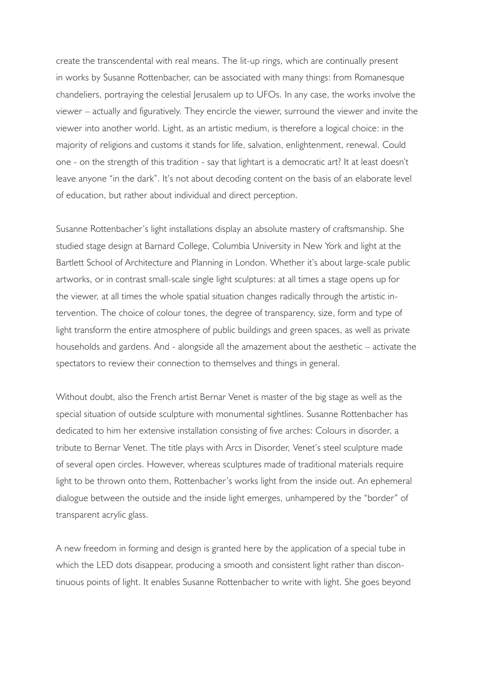create the transcendental with real means. The lit-up rings, which are continually present in works by Susanne Rottenbacher, can be associated with many things: from Romanesque chandeliers, portraying the celestial Jerusalem up to UFOs. In any case, the works involve the viewer – actually and figuratively. They encircle the viewer, surround the viewer and invite the viewer into another world. Light, as an artistic medium, is therefore a logical choice: in the majority of religions and customs it stands for life, salvation, enlightenment, renewal. Could one - on the strength of this tradition - say that lightart is a democratic art? It at least doesn't leave anyone "in the dark". It's not about decoding content on the basis of an elaborate level of education, but rather about individual and direct perception.

Susanne Rottenbacher's light installations display an absolute mastery of craftsmanship. She studied stage design at Barnard College, Columbia University in New York and light at the Bartlett School of Architecture and Planning in London. Whether it's about large-scale public artworks, or in contrast small-scale single light sculptures: at all times a stage opens up for the viewer, at all times the whole spatial situation changes radically through the artistic intervention. The choice of colour tones, the degree of transparency, size, form and type of light transform the entire atmosphere of public buildings and green spaces, as well as private households and gardens. And - alongside all the amazement about the aesthetic – activate the spectators to review their connection to themselves and things in general.

Without doubt, also the French artist Bernar Venet is master of the big stage as well as the special situation of outside sculpture with monumental sightlines. Susanne Rottenbacher has dedicated to him her extensive installation consisting of five arches: Colours in disorder, a tribute to Bernar Venet. The title plays with Arcs in Disorder, Venet's steel sculpture made of several open circles. However, whereas sculptures made of traditional materials require light to be thrown onto them, Rottenbacher's works light from the inside out. An ephemeral dialogue between the outside and the inside light emerges, unhampered by the "border" of transparent acrylic glass.

A new freedom in forming and design is granted here by the application of a special tube in which the LED dots disappear, producing a smooth and consistent light rather than discontinuous points of light. It enables Susanne Rottenbacher to write with light. She goes beyond